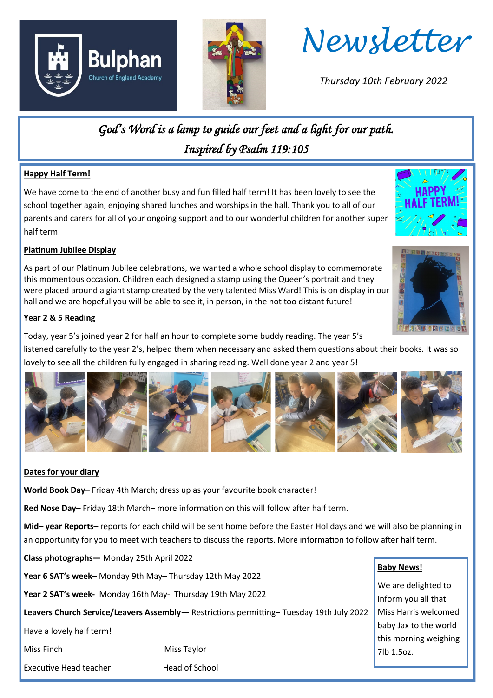





*Thursday 10th February 2022*

## *God's Word is a lamp to guide our feet and a light for our path. Inspired by Psalm 119:105*

#### **Happy Half Term!**

We have come to the end of another busy and fun filled half term! It has been lovely to see the school together again, enjoying shared lunches and worships in the hall. Thank you to all of our parents and carers for all of your ongoing support and to our wonderful children for another super half term.

#### **Platinum Jubilee Display**

As part of our Platinum Jubilee celebrations, we wanted a whole school display to commemorate this momentous occasion. Children each designed a stamp using the Queen's portrait and they were placed around a giant stamp created by the very talented Miss Ward! This is on display in our hall and we are hopeful you will be able to see it, in person, in the not too distant future!

#### **Year 2 & 5 Reading**

Today, year 5's joined year 2 for half an hour to complete some buddy reading. The year 5's

listened carefully to the year 2's, helped them when necessary and asked them questions about their books. It was so lovely to see all the children fully engaged in sharing reading. Well done year 2 and year 5!



#### **Dates for your diary**

**World Book Day–** Friday 4th March; dress up as your favourite book character!

Executive Head teacher **Head of School** 

**Red Nose Day–** Friday 18th March– more information on this will follow after half term.

**Mid– year Reports–** reports for each child will be sent home before the Easter Holidays and we will also be planning in an opportunity for you to meet with teachers to discuss the reports. More information to follow after half term.

**Class photographs—** Monday 25th April 2022 **Year 6 SAT's week–** Monday 9th May– Thursday 12th May 2022 **Year 2 SAT's week-** Monday 16th May- Thursday 19th May 2022 **Leavers Church Service/Leavers Assembly—** Restrictions permitting– Tuesday 19th July 2022 Have a lovely half term! Miss Finch Miss Taylor

#### **Baby News!**

We are delighted to inform you all that Miss Harris welcomed baby Jax to the world this morning weighing 7lb 1.5oz.

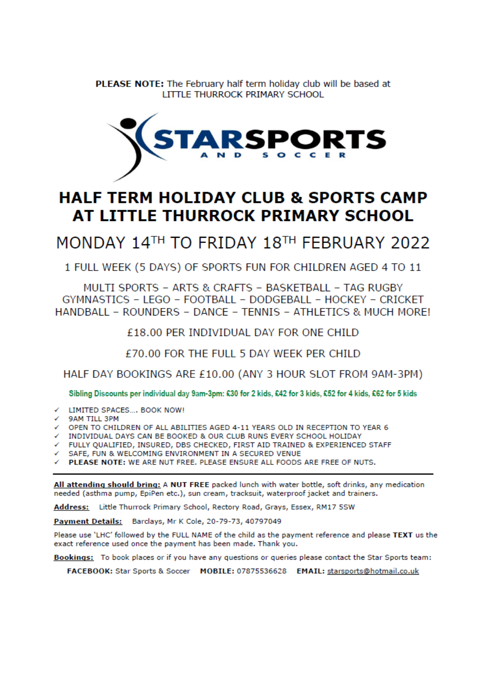**PLEASE NOTE:** The February half term holiday club will be based at LITTLE THURROCK PRIMARY SCHOOL



### **HALF TERM HOLIDAY CLUB & SPORTS CAMP** AT LITTLE THURROCK PRIMARY SCHOOL

MONDAY 14TH TO FRIDAY 18TH FEBRUARY 2022

1 FULL WEEK (5 DAYS) OF SPORTS FUN FOR CHILDREN AGED 4 TO 11

MULTI SPORTS - ARTS & CRAFTS - BASKETBALL - TAG RUGBY GYMNASTICS - LEGO - FOOTBALL - DODGEBALL - HOCKEY - CRICKET HANDBALL - ROUNDERS - DANCE - TENNIS - ATHLETICS & MUCH MORE!

£18.00 PER INDIVIDUAL DAY FOR ONE CHILD

£70.00 FOR THE FULL 5 DAY WEEK PER CHILD

HALF DAY BOOKINGS ARE £10.00 (ANY 3 HOUR SLOT FROM 9AM-3PM)

Sibling Discounts per individual day 9am-3pm: £30 for 2 kids, £42 for 3 kids, £52 for 4 kids, £62 for 5 kids

- ← LIMITED SPACES.... BOOK NOW!
- 9AM TILL 3PM
- OPEN TO CHILDREN OF ALL ABILITIES AGED 4-11 YEARS OLD IN RECEPTION TO YEAR 6
- INDIVIDUAL DAYS CAN BE BOOKED & OUR CLUB RUNS EVERY SCHOOL HOLIDAY
- √ FULLY QUALIFIED, INSURED, DBS CHECKED, FIRST AID TRAINED & EXPERIENCED STAFF

√ SAFE, FUN & WELCOMING ENVIRONMENT IN A SECURED VENUE

PLEASE NOTE: WE ARE NUT FREE. PLEASE ENSURE ALL FOODS ARE FREE OF NUTS.

All attending should bring: A NUT FREE packed lunch with water bottle, soft drinks, any medication needed (asthma pump, EpiPen etc.), sun cream, tracksuit, waterproof jacket and trainers.

Address: Little Thurrock Primary School, Rectory Road, Grays, Essex, RM17 5SW

Payment Details: Barclays, Mr K Cole, 20-79-73, 40797049

Please use 'LHC' followed by the FULL NAME of the child as the payment reference and please TEXT us the exact reference used once the payment has been made. Thank you.

Bookings: To book places or if you have any questions or queries please contact the Star Sports team:

FACEBOOK: Star Sports & Soccer MOBILE: 07875536628 EMAIL: starsports@hotmail.co.uk